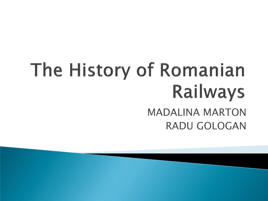# The History of Romanian **Railways** MADALINA MARTON RADU GOLOGAN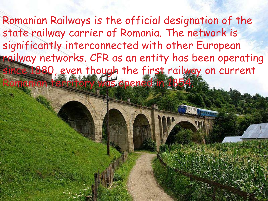Romanian Railways is the official designation of the state railway carrier of Romania. The network is significantly interconnected with other European railway networks. CFR as an entity has been operating since 1880, even though the first railway on current Romanian territory was opened in 1854.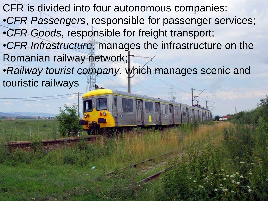CFR is divided into four autonomous companies: •*CFR Passengers*, responsible for passenger services; •*CFR Goods*, responsible for freight transport; •*CFR Infrastructure*, manages the infrastructure on the Romanian railway network; •*Railway tourist company*, which manages scenic and

touristic railways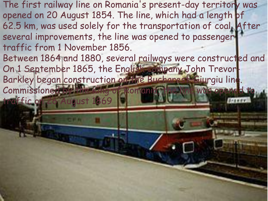The first railway line on Romania's present-day territory was opened on 20 August 1854. The line, which had a length of 62.5 km, was used solely for the transportation of coal. After several improvements, the line was opened to passenger traffic from 1 November 1856. Between 1864 and 1880, several railways were constructed and On 1 September 1865, the English company John Trevor-Barkley began construction on the Bucharest–Giurgiu line. Commissioned by the King of Romania, the line was opened traffic on 26 August 1869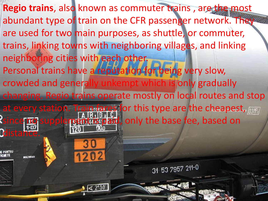**Regio trains**, also known as commuter trains , are the most abundant type of train on the CFR passenger network. They are used for two main purposes, as shuttle, or commuter, trains, linking towns with neighboring villages, and linking neighboring cities with each other. Personal trains have a reputation for being very slow, crowded and generally unkempt which is only gradually changing. Regio trains operate mostly on local routes and stop at every station. Train fares for this type are the cheapest, parel Ssince no supplement is paid, only the base fee, based on **Odistano** 31 53 7957 211-0  $\sqrt{42°30}$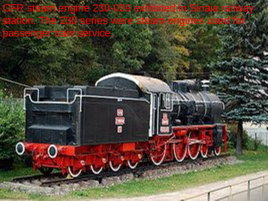CFR steam engine 230-039 exhibited in Sinaia railway [station. The 230 series were steam engines used for](http://en.wikipedia.org/wiki/File:Sinaia_steam_engine_230039.jpg)  passenger train service.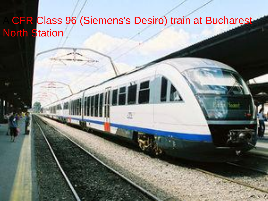#### CFR Class 96 (Siemens's Desiro) train at Bucharest **North Station**

**THE BE**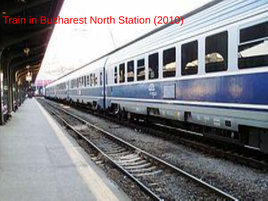### [Train in Bucharest North Station \(2010\)](http://en.wikipedia.org/wiki/File:BucN-004.jpg)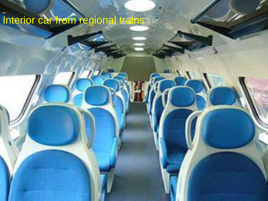## [Interior car from regional trains](http://en.wikipedia.org/wiki/File:Cars_from_regional.jpeg)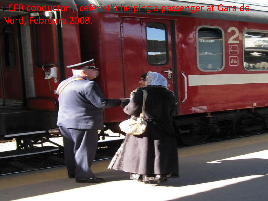'ceferist") helping a passenger at Gara de ACFR conductor ("cef

 $\frac{1}{2}$ 

3100

**TER** 

r<br>F

 $\boxed{\frac{1}{n+1}}$ 

o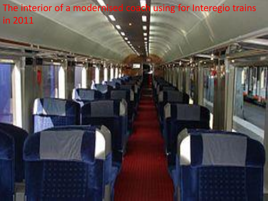The interior of a modernised coach using for Interegio trains in 2011